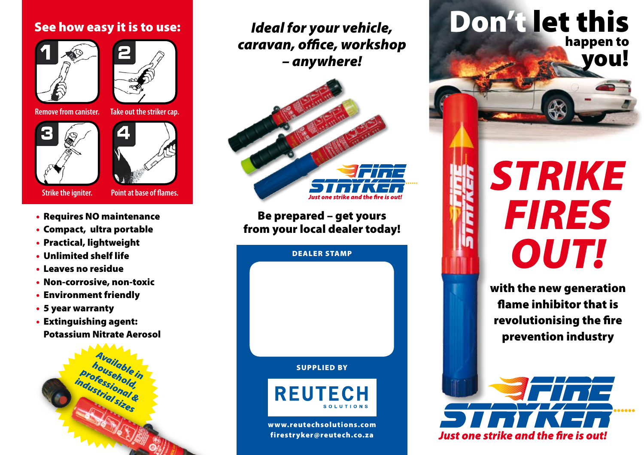# See how easy it is to use:





**Remove from canister. Take out the striker cap.**





- **Strike the igniter. Point at base of flames.**
- Requires NO maintenance
- Compact, ultra portable
- Practical, lightweight
- Unlimited shelf life
- Leaves no residue
- Non-corrosive, non-toxic
- Environment friendly
- 5 year warranty
- Extinguishing agent: Potassium Nitrate Aerosol



*Ideal for your vehicle, caravan, office, workshop – anywhere!*



Be prepared – get yours from your local dealer today!

DEALER STAMP

SUPPLIED BY



www.reutechsolutions.com firestryker@reutech.co.za

*STRIKE FIRES OUT!*

Don't let this

happen to

you!

with the new generation flame inhibitor that is revolutionising the fire prevention industry